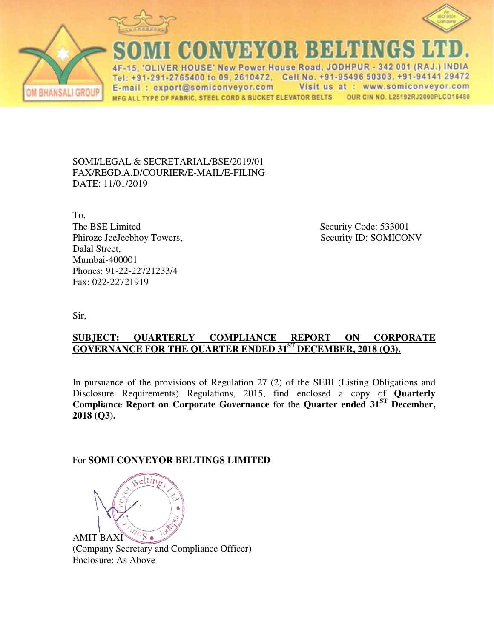



**MONAMENY** 15. 'OLIVER HOUSE' New Power House Road, JODHPUR - 342 001 (RAJ.) INDIA

Tel: +91-291-2765400 to 09, 2610472, Cell No. +91-95496 50303, +91-94141 29472 Visit us at : www.somiconveyor.com E-mail: export@somiconveyor.com OUR CIN NO. L25192RJ2000PLCO16480 MFG ALL TYPE OF FABRIC, STEEL CORD & BUCKET ELEVATOR BELTS

SOMI/LEGAL & SECRETARIAL/BSE/2019/01 FAX/REGD.A.D/COURIER/E-MAIL/E-FILING DATE: 11/01/2019

To, The BSE Limited Security Code: 533001 Phiroze JeeJeebhoy Towers, Security ID: SOMICONV Dalal Street, Mumbai-400001 Phones: 91-22-22721233/4 Fax: 022-22721919

Sir,

### **SUBJECT: QUARTERLY COMPLIANCE REPORT ON CORPORATE GOVERNANCE FOR THE QUARTER ENDED 31ST DECEMBER, 2018 (Q3).**

In pursuance of the provisions of Regulation 27 (2) of the SEBI (Listing Obligations and Disclosure Requirements) Regulations, 2015, find enclosed a copy of **Quarterly Compliance Report on Corporate Governance** for the **Quarter ended 31ST December, 2018 (Q3).**

#### For **SOMI CONVEYOR BELTINGS LIMITED**



 (Company Secretary and Compliance Officer) Enclosure: As Above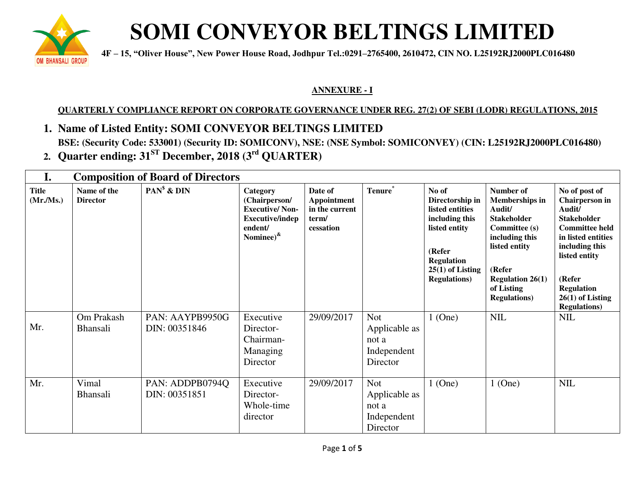

# **SOMI CONVEYOR BELTINGS LIMITED**

 **are about a**  $4F - 15$ , "Oliver House", New Power House Road, Jodhpur Tel.:0291–2765400, 2610472, CIN NO. L25192RJ2000PLC016480

### **ANNEXURE - I**

## **QUARTERLY COMPLIANCE REPORT ON CORPORATE GOVERNANCE UNDER REG. 27(2) OF SEBI (LODR) REGULATIONS, 2015**

- **1. Name of Listed Entity: SOMI CONVEYOR BELTINGS LIMITED BSE: (Security Code: 533001) (Security ID: SOMICONV), NSE: (NSE Symbol: SOMICONVEY) (CIN: L25192RJ2000PLC016480)**
- **2. Quarter ending: 31ST December, 2018 (3rd QUARTER)**

| I.                       | <b>Composition of Board of Directors</b> |                                  |                                                                                                             |                                                                |                                                                 |                                                                                                                                                             |                                                                                                                                                                                                          |                                                                                                                                                                                                                                       |
|--------------------------|------------------------------------------|----------------------------------|-------------------------------------------------------------------------------------------------------------|----------------------------------------------------------------|-----------------------------------------------------------------|-------------------------------------------------------------------------------------------------------------------------------------------------------------|----------------------------------------------------------------------------------------------------------------------------------------------------------------------------------------------------------|---------------------------------------------------------------------------------------------------------------------------------------------------------------------------------------------------------------------------------------|
| <b>Title</b><br>(Mr/Ms.) | Name of the<br><b>Director</b>           | $PAN^s$ & $DIN$                  | Category<br>(Chairperson/<br><b>Executive/Non-</b><br><b>Executive/indep</b><br>endent/<br>Nominee) $^{\&}$ | Date of<br>Appointment<br>in the current<br>term/<br>cessation | Tenure*                                                         | No of<br>Directorship in<br>listed entities<br>including this<br>listed entity<br>(Refer<br><b>Regulation</b><br>$25(1)$ of Listing<br><b>Regulations</b> ) | Number of<br><b>Memberships in</b><br>Audit/<br><b>Stakeholder</b><br><b>Committee (s)</b><br>including this<br>listed entity<br>(Refer<br><b>Regulation 26(1)</b><br>of Listing<br><b>Regulations</b> ) | No of post of<br><b>Chairperson</b> in<br>Audit/<br><b>Stakeholder</b><br><b>Committee held</b><br>in listed entities<br>including this<br>listed entity<br>(Refer<br><b>Regulation</b><br>$26(1)$ of Listing<br><b>Regulations</b> ) |
| Mr.                      | Om Prakash<br><b>Bhansali</b>            | PAN: AAYPB9950G<br>DIN: 00351846 | Executive<br>Director-<br>Chairman-<br>Managing<br>Director                                                 | 29/09/2017                                                     | <b>Not</b><br>Applicable as<br>not a<br>Independent<br>Director | $1$ (One)                                                                                                                                                   | <b>NIL</b>                                                                                                                                                                                               | <b>NIL</b>                                                                                                                                                                                                                            |
| Mr.                      | Vimal<br><b>Bhansali</b>                 | PAN: ADDPB0794Q<br>DIN: 00351851 | Executive<br>Director-<br>Whole-time<br>director                                                            | 29/09/2017                                                     | <b>Not</b><br>Applicable as<br>not a<br>Independent<br>Director | $1$ (One)                                                                                                                                                   | $1$ (One)                                                                                                                                                                                                | <b>NIL</b>                                                                                                                                                                                                                            |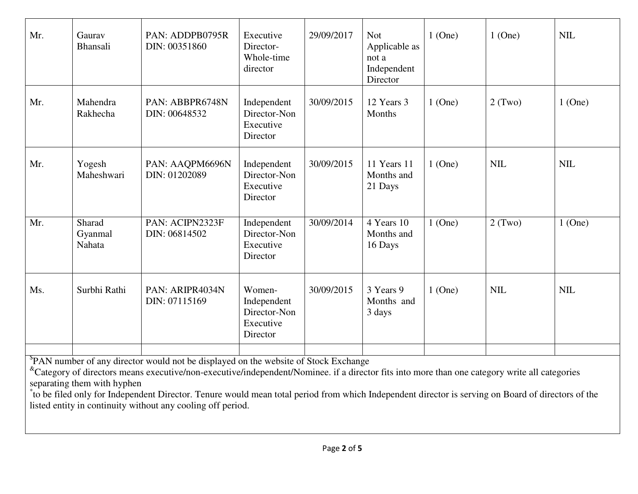| Mr.                                                                                                                                                                                                                                                                                                                                                                                                                                                   | Gaurav<br>Bhansali          | PAN: ADDPB0795R<br>DIN: 00351860 | Executive<br>Director-<br>Whole-time<br>director               | 29/09/2017 | <b>Not</b><br>Applicable as<br>not a<br>Independent<br>Director | $1$ (One) | $1$ (One)  | <b>NIL</b> |
|-------------------------------------------------------------------------------------------------------------------------------------------------------------------------------------------------------------------------------------------------------------------------------------------------------------------------------------------------------------------------------------------------------------------------------------------------------|-----------------------------|----------------------------------|----------------------------------------------------------------|------------|-----------------------------------------------------------------|-----------|------------|------------|
| Mr.                                                                                                                                                                                                                                                                                                                                                                                                                                                   | Mahendra<br>Rakhecha        | PAN: ABBPR6748N<br>DIN: 00648532 | Independent<br>Director-Non<br>Executive<br>Director           | 30/09/2015 | 12 Years 3<br>Months                                            | $1$ (One) | $2$ (Two)  | $1$ (One)  |
| Mr.                                                                                                                                                                                                                                                                                                                                                                                                                                                   | Yogesh<br>Maheshwari        | PAN: AAQPM6696N<br>DIN: 01202089 | Independent<br>Director-Non<br>Executive<br>Director           | 30/09/2015 | 11 Years 11<br>Months and<br>21 Days                            | $1$ (One) | <b>NIL</b> | <b>NIL</b> |
| Mr.                                                                                                                                                                                                                                                                                                                                                                                                                                                   | Sharad<br>Gyanmal<br>Nahata | PAN: ACIPN2323F<br>DIN: 06814502 | Independent<br>Director-Non<br>Executive<br>Director           | 30/09/2014 | 4 Years 10<br>Months and<br>16 Days                             | $1$ (One) | 2(Two)     | $1$ (One)  |
| Ms.                                                                                                                                                                                                                                                                                                                                                                                                                                                   | Surbhi Rathi                | PAN: ARIPR4034N<br>DIN: 07115169 | Women-<br>Independent<br>Director-Non<br>Executive<br>Director | 30/09/2015 | 3 Years 9<br>Months and<br>3 days                               | $1$ (One) | <b>NIL</b> | <b>NIL</b> |
| <sup>\$</sup> PAN number of any director would not be displayed on the website of Stock Exchange<br><sup>&amp;</sup> Category of directors means executive/non-executive/independent/Nominee. if a director fits into more than one category write all categories<br>separating them with hyphen<br>to be filed only for Independent Director. Tenure would mean total period from which Independent director is serving on Board of directors of the |                             |                                  |                                                                |            |                                                                 |           |            |            |

listed entity in continuity without any cooling off period.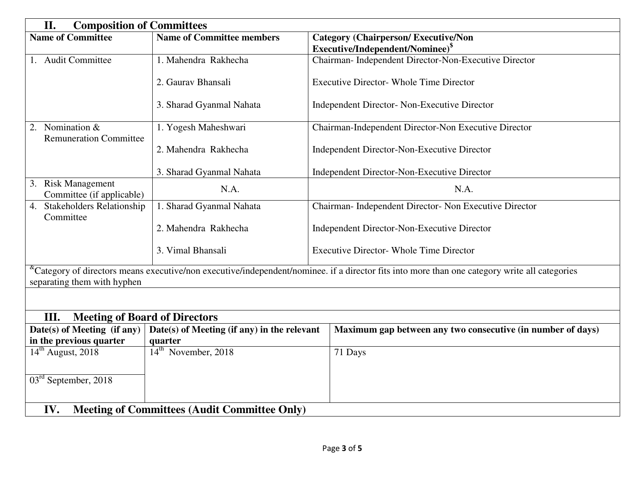| II.<br><b>Composition of Committees</b>                                    |                                  |                                                                                                                                                               |  |  |  |  |
|----------------------------------------------------------------------------|----------------------------------|---------------------------------------------------------------------------------------------------------------------------------------------------------------|--|--|--|--|
| <b>Name of Committee</b>                                                   | <b>Name of Committee members</b> | <b>Category (Chairperson/Executive/Non</b>                                                                                                                    |  |  |  |  |
|                                                                            |                                  | Executive/Independent/Nominee) <sup>\$</sup>                                                                                                                  |  |  |  |  |
| 1. Audit Committee                                                         | 1. Mahendra Rakhecha             | Chairman- Independent Director-Non-Executive Director                                                                                                         |  |  |  |  |
|                                                                            | 2. Gauray Bhansali               | <b>Executive Director- Whole Time Director</b>                                                                                                                |  |  |  |  |
|                                                                            | 3. Sharad Gyanmal Nahata         | Independent Director- Non-Executive Director                                                                                                                  |  |  |  |  |
| 2. Nomination &<br><b>Remuneration Committee</b>                           | 1. Yogesh Maheshwari             | Chairman-Independent Director-Non Executive Director                                                                                                          |  |  |  |  |
|                                                                            | 2. Mahendra Rakhecha             | Independent Director-Non-Executive Director                                                                                                                   |  |  |  |  |
|                                                                            | 3. Sharad Gyanmal Nahata         | Independent Director-Non-Executive Director                                                                                                                   |  |  |  |  |
| 3. Risk Management<br>Committee (if applicable)                            | N.A.                             | N.A.                                                                                                                                                          |  |  |  |  |
| <b>Stakeholders Relationship</b><br>4.<br>Committee                        | 1. Sharad Gyanmal Nahata         | Chairman- Independent Director- Non Executive Director                                                                                                        |  |  |  |  |
|                                                                            | 2. Mahendra Rakhecha             | Independent Director-Non-Executive Director                                                                                                                   |  |  |  |  |
|                                                                            | 3. Vimal Bhansali                | <b>Executive Director- Whole Time Director</b>                                                                                                                |  |  |  |  |
| separating them with hyphen                                                |                                  | <sup>&amp;</sup> Category of directors means executive/non executive/independent/nominee. if a director fits into more than one category write all categories |  |  |  |  |
|                                                                            |                                  |                                                                                                                                                               |  |  |  |  |
| <b>Meeting of Board of Directors</b><br>III.                               |                                  |                                                                                                                                                               |  |  |  |  |
| Date(s) of Meeting (if any)<br>Date(s) of Meeting (if any) in the relevant |                                  | Maximum gap between any two consecutive (in number of days)                                                                                                   |  |  |  |  |
| in the previous quarter<br>quarter                                         |                                  |                                                                                                                                                               |  |  |  |  |
| $14th$ August, 2018                                                        | 14 <sup>th</sup> November, 2018  | 71 Days                                                                                                                                                       |  |  |  |  |
| $03rd$ September, 2018                                                     |                                  |                                                                                                                                                               |  |  |  |  |
| IV.<br><b>Meeting of Committees (Audit Committee Only)</b>                 |                                  |                                                                                                                                                               |  |  |  |  |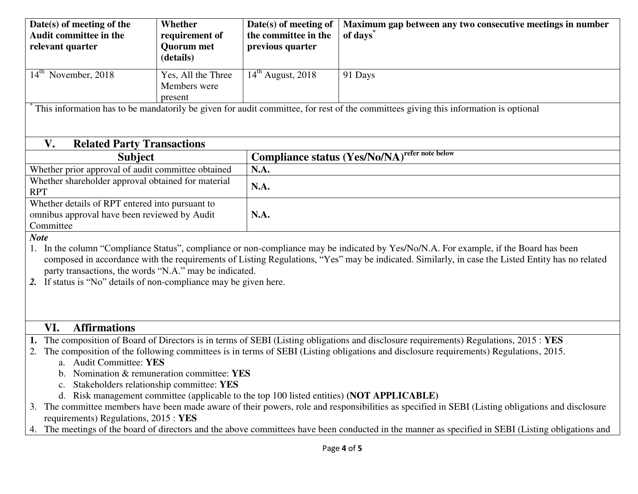| Date(s) of meeting of the                                                                                                                                           | Whether                                                                                                                                         | Date(s) of meeting of | Maximum gap between any two consecutive meetings in number                                                                                       |  |  |  |  |  |
|---------------------------------------------------------------------------------------------------------------------------------------------------------------------|-------------------------------------------------------------------------------------------------------------------------------------------------|-----------------------|--------------------------------------------------------------------------------------------------------------------------------------------------|--|--|--|--|--|
| <b>Audit committee in the</b>                                                                                                                                       | requirement of                                                                                                                                  | the committee in the  | of days <sup>®</sup>                                                                                                                             |  |  |  |  |  |
| relevant quarter                                                                                                                                                    | <b>Quorum</b> met                                                                                                                               | previous quarter      |                                                                                                                                                  |  |  |  |  |  |
|                                                                                                                                                                     | (details)                                                                                                                                       |                       |                                                                                                                                                  |  |  |  |  |  |
| $14th$ November, 2018                                                                                                                                               | Yes, All the Three                                                                                                                              | $14th$ August, 2018   | 91 Days                                                                                                                                          |  |  |  |  |  |
|                                                                                                                                                                     | Members were                                                                                                                                    |                       |                                                                                                                                                  |  |  |  |  |  |
|                                                                                                                                                                     | present                                                                                                                                         |                       |                                                                                                                                                  |  |  |  |  |  |
|                                                                                                                                                                     |                                                                                                                                                 |                       | This information has to be mandatorily be given for audit committee, for rest of the committees giving this information is optional              |  |  |  |  |  |
|                                                                                                                                                                     |                                                                                                                                                 |                       |                                                                                                                                                  |  |  |  |  |  |
|                                                                                                                                                                     |                                                                                                                                                 |                       |                                                                                                                                                  |  |  |  |  |  |
| V.<br><b>Related Party Transactions</b>                                                                                                                             |                                                                                                                                                 |                       |                                                                                                                                                  |  |  |  |  |  |
| <b>Subject</b>                                                                                                                                                      |                                                                                                                                                 |                       | <b>Compliance status (Yes/No/NA)</b> refer note below                                                                                            |  |  |  |  |  |
| Whether prior approval of audit committee obtained                                                                                                                  |                                                                                                                                                 | N.A.                  |                                                                                                                                                  |  |  |  |  |  |
| Whether shareholder approval obtained for material                                                                                                                  |                                                                                                                                                 | N.A.                  |                                                                                                                                                  |  |  |  |  |  |
| <b>RPT</b>                                                                                                                                                          |                                                                                                                                                 |                       |                                                                                                                                                  |  |  |  |  |  |
| Whether details of RPT entered into pursuant to                                                                                                                     |                                                                                                                                                 |                       |                                                                                                                                                  |  |  |  |  |  |
| omnibus approval have been reviewed by Audit                                                                                                                        |                                                                                                                                                 | N.A.                  |                                                                                                                                                  |  |  |  |  |  |
| Committee                                                                                                                                                           |                                                                                                                                                 |                       |                                                                                                                                                  |  |  |  |  |  |
| <b>Note</b>                                                                                                                                                         |                                                                                                                                                 |                       |                                                                                                                                                  |  |  |  |  |  |
|                                                                                                                                                                     |                                                                                                                                                 |                       | In the column "Compliance Status", compliance or non-compliance may be indicated by Yes/No/N.A. For example, if the Board has been               |  |  |  |  |  |
|                                                                                                                                                                     |                                                                                                                                                 |                       | composed in accordance with the requirements of Listing Regulations, "Yes" may be indicated. Similarly, in case the Listed Entity has no related |  |  |  |  |  |
| party transactions, the words "N.A." may be indicated.                                                                                                              |                                                                                                                                                 |                       |                                                                                                                                                  |  |  |  |  |  |
| 2. If status is "No" details of non-compliance may be given here.                                                                                                   |                                                                                                                                                 |                       |                                                                                                                                                  |  |  |  |  |  |
|                                                                                                                                                                     |                                                                                                                                                 |                       |                                                                                                                                                  |  |  |  |  |  |
|                                                                                                                                                                     |                                                                                                                                                 |                       |                                                                                                                                                  |  |  |  |  |  |
|                                                                                                                                                                     |                                                                                                                                                 |                       |                                                                                                                                                  |  |  |  |  |  |
| <b>Affirmations</b><br>VI.<br>1. The composition of Board of Directors is in terms of SEBI (Listing obligations and disclosure requirements) Regulations, 2015: YES |                                                                                                                                                 |                       |                                                                                                                                                  |  |  |  |  |  |
| The composition of the following committees is in terms of SEBI (Listing obligations and disclosure requirements) Regulations, 2015.<br>2.                          |                                                                                                                                                 |                       |                                                                                                                                                  |  |  |  |  |  |
| a. Audit Committee: YES                                                                                                                                             |                                                                                                                                                 |                       |                                                                                                                                                  |  |  |  |  |  |
| Nomination & remuneration committee: YES                                                                                                                            |                                                                                                                                                 |                       |                                                                                                                                                  |  |  |  |  |  |
| Stakeholders relationship committee: YES                                                                                                                            |                                                                                                                                                 |                       |                                                                                                                                                  |  |  |  |  |  |
| d. Risk management committee (applicable to the top 100 listed entities) (NOT APPLICABLE)                                                                           |                                                                                                                                                 |                       |                                                                                                                                                  |  |  |  |  |  |
| The committee members have been made aware of their powers, role and responsibilities as specified in SEBI (Listing obligations and disclosure                      |                                                                                                                                                 |                       |                                                                                                                                                  |  |  |  |  |  |
| requirements) Regulations, 2015 : YES                                                                                                                               |                                                                                                                                                 |                       |                                                                                                                                                  |  |  |  |  |  |
| 4.                                                                                                                                                                  | The meetings of the board of directors and the above committees have been conducted in the manner as specified in SEBI (Listing obligations and |                       |                                                                                                                                                  |  |  |  |  |  |